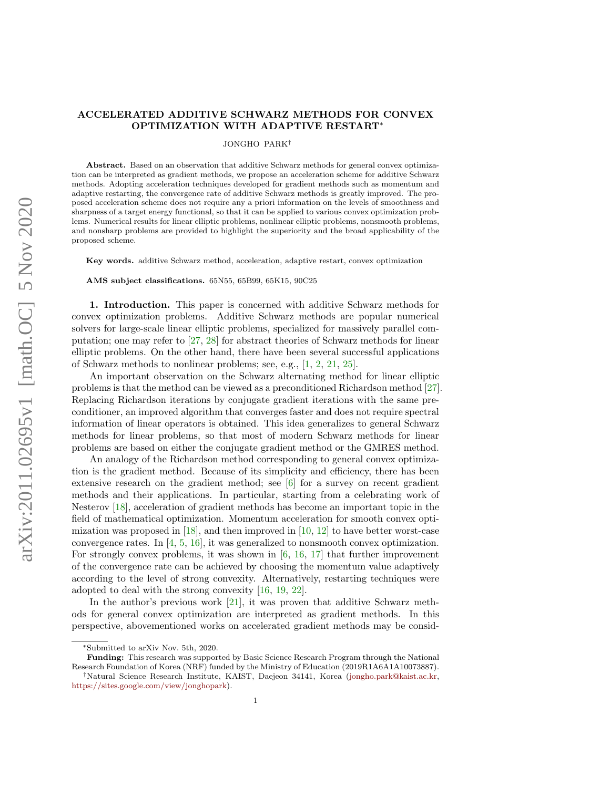# arXiv:2011.02695v1 [math.OC] 5 Nov 2020 arXiv:2011.02695v1 [math.OC] 5 Nov 2020

# ACCELERATED ADDITIVE SCHWARZ METHODS FOR CONVEX OPTIMIZATION WITH ADAPTIVE RESTART<sup>∗</sup>

JONGHO PARK†

Abstract. Based on an observation that additive Schwarz methods for general convex optimization can be interpreted as gradient methods, we propose an acceleration scheme for additive Schwarz methods. Adopting acceleration techniques developed for gradient methods such as momentum and adaptive restarting, the convergence rate of additive Schwarz methods is greatly improved. The proposed acceleration scheme does not require any a priori information on the levels of smoothness and sharpness of a target energy functional, so that it can be applied to various convex optimization problems. Numerical results for linear elliptic problems, nonlinear elliptic problems, nonsmooth problems, and nonsharp problems are provided to highlight the superiority and the broad applicability of the proposed scheme.

Key words. additive Schwarz method, acceleration, adaptive restart, convex optimization

AMS subject classifications. 65N55, 65B99, 65K15, 90C25

1. Introduction. This paper is concerned with additive Schwarz methods for convex optimization problems. Additive Schwarz methods are popular numerical solvers for large-scale linear elliptic problems, specialized for massively parallel computation; one may refer to [\[27,](#page-17-0) [28\]](#page-17-1) for abstract theories of Schwarz methods for linear elliptic problems. On the other hand, there have been several successful applications of Schwarz methods to nonlinear problems; see, e.g., [\[1,](#page-16-0) [2,](#page-16-1) [21,](#page-17-2) [25\]](#page-17-3).

An important observation on the Schwarz alternating method for linear elliptic problems is that the method can be viewed as a preconditioned Richardson method [\[27\]](#page-17-0). Replacing Richardson iterations by conjugate gradient iterations with the same preconditioner, an improved algorithm that converges faster and does not require spectral information of linear operators is obtained. This idea generalizes to general Schwarz methods for linear problems, so that most of modern Schwarz methods for linear problems are based on either the conjugate gradient method or the GMRES method.

An analogy of the Richardson method corresponding to general convex optimization is the gradient method. Because of its simplicity and efficiency, there has been extensive research on the gradient method; see [\[6\]](#page-16-2) for a survey on recent gradient methods and their applications. In particular, starting from a celebrating work of Nesterov [\[18\]](#page-17-4), acceleration of gradient methods has become an important topic in the field of mathematical optimization. Momentum acceleration for smooth convex optimization was proposed in  $[18]$ , and then improved in  $[10, 12]$  $[10, 12]$  $[10, 12]$  to have better worst-case convergence rates. In  $[4, 5, 16]$  $[4, 5, 16]$  $[4, 5, 16]$  $[4, 5, 16]$  $[4, 5, 16]$ , it was generalized to nonsmooth convex optimization. For strongly convex problems, it was shown in  $[6, 16, 17]$  $[6, 16, 17]$  $[6, 16, 17]$  $[6, 16, 17]$  $[6, 16, 17]$  that further improvement of the convergence rate can be achieved by choosing the momentum value adaptively according to the level of strong convexity. Alternatively, restarting techniques were adopted to deal with the strong convexity [\[16,](#page-17-5) [19,](#page-17-7) [22\]](#page-17-8).

In the author's previous work [\[21\]](#page-17-2), it was proven that additive Schwarz methods for general convex optimization are interpreted as gradient methods. In this perspective, abovementioned works on accelerated gradient methods may be consid-

<sup>∗</sup>Submitted to arXiv Nov. 5th, 2020.

Funding: This research was supported by Basic Science Research Program through the National Research Foundation of Korea (NRF) funded by the Ministry of Education (2019R1A6A1A10073887). †Natural Science Research Institute, KAIST, Daejeon 34141, Korea [\(jongho.park@kaist.ac.kr,](mailto:jongho.park@kaist.ac.kr)

[https://sites.google.com/view/jonghopark\)](https://sites.google.com/view/jonghopark).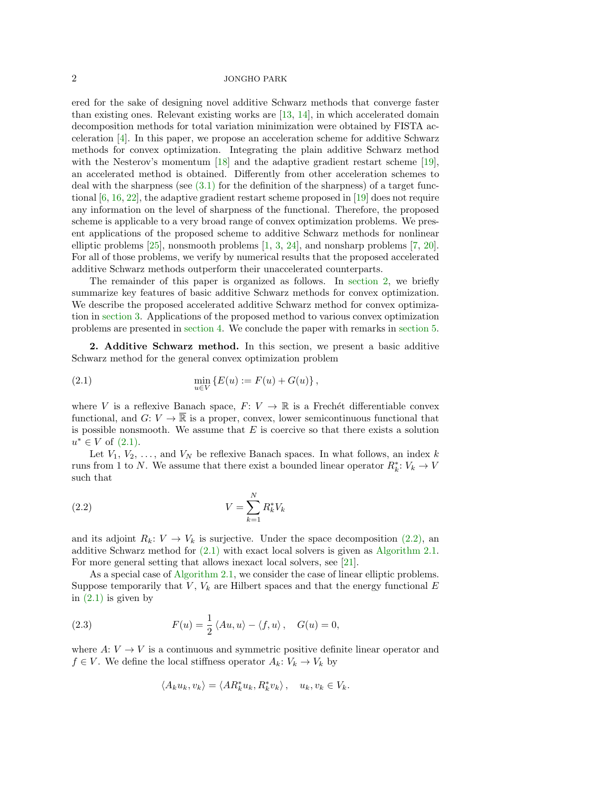ered for the sake of designing novel additive Schwarz methods that converge faster than existing ones. Relevant existing works are [\[13,](#page-16-7) [14\]](#page-16-8), in which accelerated domain decomposition methods for total variation minimization were obtained by FISTA acceleration [\[4\]](#page-16-5). In this paper, we propose an acceleration scheme for additive Schwarz methods for convex optimization. Integrating the plain additive Schwarz method with the Nesterov's momentum [\[18\]](#page-17-4) and the adaptive gradient restart scheme [\[19\]](#page-17-7), an accelerated method is obtained. Differently from other acceleration schemes to deal with the sharpness (see  $(3.1)$  for the definition of the sharpness) of a target functional [\[6,](#page-16-2) [16,](#page-17-5) [22\]](#page-17-8), the adaptive gradient restart scheme proposed in [\[19\]](#page-17-7) does not require any information on the level of sharpness of the functional. Therefore, the proposed scheme is applicable to a very broad range of convex optimization problems. We present applications of the proposed scheme to additive Schwarz methods for nonlinear elliptic problems [\[25\]](#page-17-3), nonsmooth problems [\[1,](#page-16-0) [3,](#page-16-9) [24\]](#page-17-9), and nonsharp problems [\[7,](#page-16-10) [20\]](#page-17-10). For all of those problems, we verify by numerical results that the proposed accelerated additive Schwarz methods outperform their unaccelerated counterparts.

The remainder of this paper is organized as follows. In [section 2,](#page-1-0) we briefly summarize key features of basic additive Schwarz methods for convex optimization. We describe the proposed accelerated additive Schwarz method for convex optimization in [section 3.](#page-3-1) Applications of the proposed method to various convex optimization problems are presented in [section 4.](#page-4-0) We conclude the paper with remarks in [section 5.](#page-16-11)

<span id="page-1-0"></span>2. Additive Schwarz method. In this section, we present a basic additive Schwarz method for the general convex optimization problem

<span id="page-1-1"></span>(2.1) 
$$
\min_{u \in V} \{ E(u) := F(u) + G(u) \},
$$

where V is a reflexive Banach space,  $F: V \to \mathbb{R}$  is a Frechet differentiable convex functional, and  $G: V \to \mathbb{R}$  is a proper, convex, lower semicontinuous functional that is possible nonsmooth. We assume that  $E$  is coercive so that there exists a solution  $u^* \in V$  of  $(2.1)$ .

Let  $V_1, V_2, \ldots$ , and  $V_N$  be reflexive Banach spaces. In what follows, an index k runs from 1 to N. We assume that there exist a bounded linear operator  $R_k^*$ :  $V_k \to V$ such that

<span id="page-1-2"></span>
$$
(2.2)\t\t\t V = \sum_{k=1}^{N} R_k^* V_k
$$

and its adjoint  $R_k: V \to V_k$  is surjective. Under the space decomposition [\(2.2\),](#page-1-2) an additive Schwarz method for [\(2.1\)](#page-1-1) with exact local solvers is given as [Algorithm 2.1.](#page-2-0) For more general setting that allows inexact local solvers, see [\[21\]](#page-17-2).

As a special case of [Algorithm 2.1,](#page-2-0) we consider the case of linear elliptic problems. Suppose temporarily that  $V, V_k$  are Hilbert spaces and that the energy functional  $E$ in  $(2.1)$  is given by

(2.3) 
$$
F(u) = \frac{1}{2} \langle Au, u \rangle - \langle f, u \rangle, \quad G(u) = 0,
$$

where  $A: V \to V$  is a continuous and symmetric positive definite linear operator and  $f \in V$ . We define the local stiffness operator  $A_k: V_k \to V_k$  by

<span id="page-1-3"></span>
$$
\langle A_k u_k, v_k \rangle = \langle A R_k^* u_k, R_k^* v_k \rangle, \quad u_k, v_k \in V_k.
$$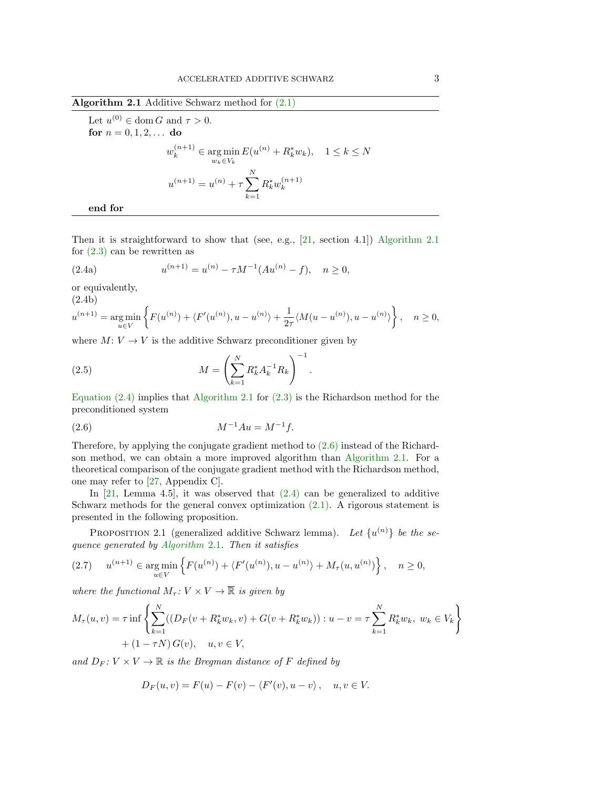<span id="page-2-0"></span>Algorithm 2.1 Additive Schwarz method for [\(2.1\)](#page-1-1)

Let  $u^{(0)} \in \text{dom } G$  and  $\tau > 0$ . for  $n = 0, 1, 2, ...$  do  $w_k^{(n+1)} \in \argmin_{w_k \in V_k}$  $E(u^{(n)} + R_k^* w_k), \quad 1 \le k \le N$  $u^{(n+1)} = u^{(n)} + \tau \sum_{n=1}^{N}$  $k=1$  $R_k^* w_k^{(n+1)}$ k end for

Then it is straightforward to show that (see, e.g.,  $[21, \text{ section } 4.1]$  $[21, \text{ section } 4.1]$ ) [Algorithm 2.1](#page-2-0) for  $(2.3)$  can be rewritten as

<span id="page-2-1"></span>(2.4a) 
$$
u^{(n+1)} = u^{(n)} - \tau M^{-1} (Au^{(n)} - f), \quad n \ge 0,
$$

or equivalently,

(2.4b)

$$
u^{(n+1)} = \underset{u \in V}{\arg\min} \left\{ F(u^{(n)}) + \langle F'(u^{(n)}), u - u^{(n)} \rangle + \frac{1}{2\tau} \langle M(u - u^{(n)}), u - u^{(n)} \rangle \right\}, \quad n \ge 0,
$$

where  $M: V \to V$  is the additive Schwarz preconditioner given by

(2.5) 
$$
M = \left(\sum_{k=1}^{N} R_k^* A_k^{-1} R_k\right)^{-1}
$$

[Equation \(2.4\)](#page-2-1) implies that [Algorithm 2.1](#page-2-0) for [\(2.3\)](#page-1-3) is the Richardson method for the preconditioned system

<span id="page-2-5"></span><span id="page-2-2"></span>.

(2.6) 
$$
M^{-1}Au = M^{-1}f.
$$

Therefore, by applying the conjugate gradient method to [\(2.6\)](#page-2-2) instead of the Richardson method, we can obtain a more improved algorithm than [Algorithm 2.1.](#page-2-0) For a theoretical comparison of the conjugate gradient method with the Richardson method, one may refer to [\[27,](#page-17-0) Appendix C].

In  $[21, \text{ Lemma } 4.5]$  $[21, \text{ Lemma } 4.5]$ , it was observed that  $(2.4)$  can be generalized to additive Schwarz methods for the general convex optimization  $(2.1)$ . A rigorous statement is presented in the following proposition.

<span id="page-2-4"></span>PROPOSITION 2.1 (generalized additive Schwarz lemma). Let  $\{u^{(n)}\}$  be the sequence generated by [Algorithm](#page-2-0) 2.1. Then it satisfies

<span id="page-2-3"></span>
$$
(2.7) \t u^{(n+1)} \in \underset{u \in V}{\arg \min} \left\{ F(u^{(n)}) + \langle F'(u^{(n)}), u - u^{(n)} \rangle + M_\tau(u, u^{(n)}) \right\}, \quad n \ge 0,
$$

where the functional  $M_\tau: V \times V \to \overline{\mathbb{R}}$  is given by

$$
M_{\tau}(u, v) = \tau \inf \left\{ \sum_{k=1}^{N} ((D_{F}(v + R_{k}^{*} w_{k}, v) + G(v + R_{k}^{*} w_{k})) : u - v = \tau \sum_{k=1}^{N} R_{k}^{*} w_{k}, w_{k} \in V_{k} \right\}
$$
  
+  $(1 - \tau N) G(v), u, v \in V,$ 

and  $D_F: V \times V \to \mathbb{R}$  is the Bregman distance of F defined by

$$
D_F(u, v) = F(u) - F(v) - \langle F'(v), u - v \rangle, \quad u, v \in V.
$$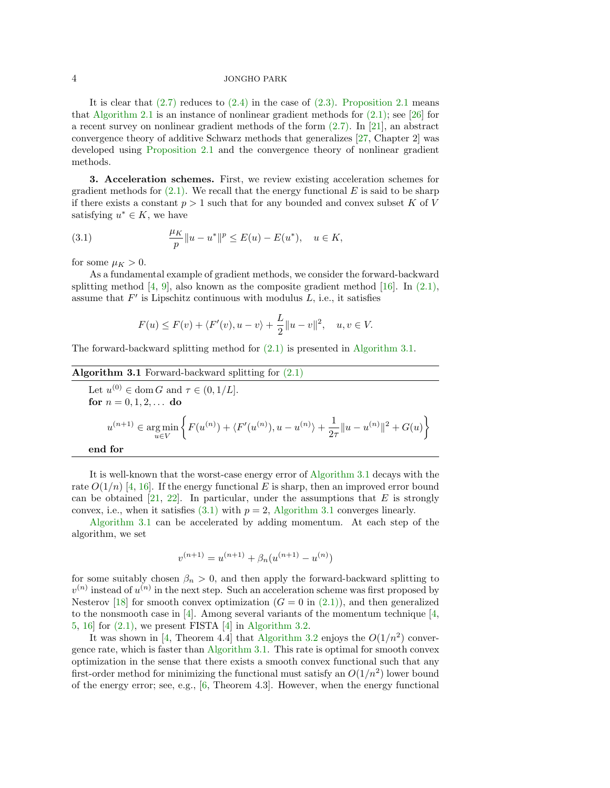It is clear that  $(2.7)$  reduces to  $(2.4)$  in the case of  $(2.3)$ . [Proposition 2.1](#page-2-4) means that [Algorithm 2.1](#page-2-0) is an instance of nonlinear gradient methods for  $(2.1)$ ; see [\[26\]](#page-17-11) for a recent survey on nonlinear gradient methods of the form [\(2.7\).](#page-2-3) In [\[21\]](#page-17-2), an abstract convergence theory of additive Schwarz methods that generalizes [\[27,](#page-17-0) Chapter 2] was developed using [Proposition 2.1](#page-2-4) and the convergence theory of nonlinear gradient methods.

<span id="page-3-1"></span>3. Acceleration schemes. First, we review existing acceleration schemes for gradient methods for  $(2.1)$ . We recall that the energy functional E is said to be sharp if there exists a constant  $p > 1$  such that for any bounded and convex subset K of V satisfying  $u^* \in K$ , we have

(3.1) 
$$
\frac{\mu_K}{p} \|u - u^*\|^p \le E(u) - E(u^*), \quad u \in K,
$$

for some  $\mu_K > 0$ .

As a fundamental example of gradient methods, we consider the forward-backward splitting method  $[4, 9]$  $[4, 9]$  $[4, 9]$ , also known as the composite gradient method  $[16]$ . In  $(2.1)$ , assume that  $F'$  is Lipschitz continuous with modulus  $L$ , i.e., it satisfies

<span id="page-3-0"></span>
$$
F(u) \le F(v) + \langle F'(v), u - v \rangle + \frac{L}{2} ||u - v||^2, \quad u, v \in V.
$$

The forward-backward splitting method for [\(2.1\)](#page-1-1) is presented in [Algorithm 3.1.](#page-3-2)

# <span id="page-3-2"></span>**Algorithm 3.1** Forward-backward splitting for  $(2.1)$

Let 
$$
u^{(0)} \in \text{dom } G
$$
 and  $\tau \in (0, 1/L]$ .  
\nfor  $n = 0, 1, 2, ...$  do\n
$$
u^{(n+1)} \in \underset{u \in V}{\text{arg min}} \left\{ F(u^{(n)}) + \langle F'(u^{(n)}), u - u^{(n)} \rangle + \frac{1}{2\tau} ||u - u^{(n)}||^2 + G(u) \right\}
$$
\nend for

It is well-known that the worst-case energy error of [Algorithm 3.1](#page-3-2) decays with the rate  $O(1/n)$  [\[4,](#page-16-5) [16\]](#page-17-5). If the energy functional E is sharp, then an improved error bound can be obtained [\[21,](#page-17-2) [22\]](#page-17-8). In particular, under the assumptions that  $E$  is strongly convex, i.e., when it satisfies  $(3.1)$  with  $p = 2$ , [Algorithm 3.1](#page-3-2) converges linearly.

[Algorithm 3.1](#page-3-2) can be accelerated by adding momentum. At each step of the algorithm, we set

$$
v^{(n+1)} = u^{(n+1)} + \beta_n(u^{(n+1)} - u^{(n)})
$$

for some suitably chosen  $\beta_n > 0$ , and then apply the forward-backward splitting to  $v^{(n)}$  instead of  $u^{(n)}$  in the next step. Such an acceleration scheme was first proposed by Nesterov [\[18\]](#page-17-4) for smooth convex optimization  $(G = 0$  in  $(2.1)$ ), and then generalized to the nonsmooth case in [\[4\]](#page-16-5). Among several variants of the momentum technique [\[4,](#page-16-5) [5,](#page-16-6) [16\]](#page-17-5) for [\(2.1\),](#page-1-1) we present FISTA [\[4\]](#page-16-5) in [Algorithm 3.2.](#page-4-1)

It was shown in [\[4,](#page-16-5) Theorem 4.4] that [Algorithm 3.2](#page-4-1) enjoys the  $O(1/n^2)$  convergence rate, which is faster than [Algorithm 3.1.](#page-3-2) This rate is optimal for smooth convex optimization in the sense that there exists a smooth convex functional such that any first-order method for minimizing the functional must satisfy an  $O(1/n^2)$  lower bound of the energy error; see, e.g., [\[6,](#page-16-2) Theorem 4.3]. However, when the energy functional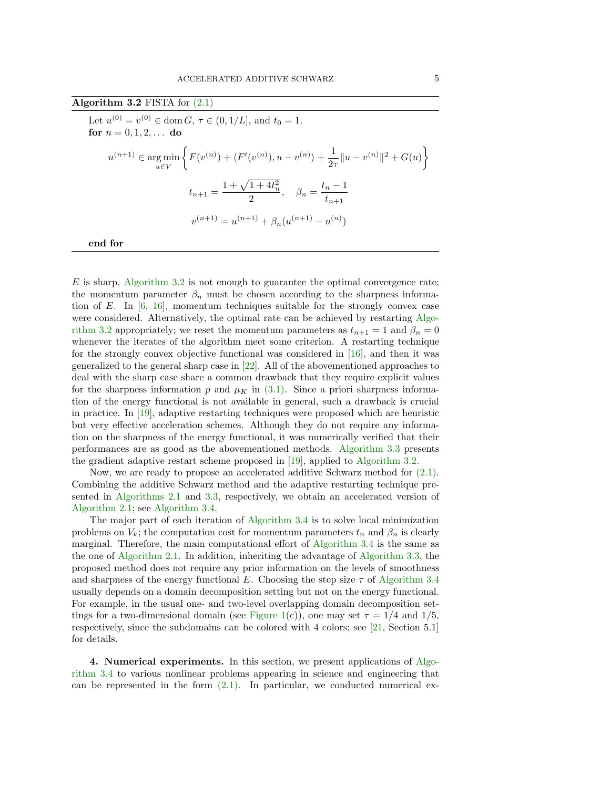<span id="page-4-1"></span>Algorithm  $3.2$  FISTA for  $(2.1)$ Let  $u^{(0)} = v^{(0)} \in \text{dom } G, \tau \in (0, 1/L], \text{ and } t_0 = 1.$ for  $n = 0, 1, 2, ...$  do  $u^{(n+1)} \in \argmin_{u \in V}$  $\Big\{ F(v^{(n)}) + \langle F'(v^{(n)}), u - v^{(n)} \rangle + \frac{1}{2} \Big\}$  $\frac{1}{2\tau} \|u - v^{(n)}\|^2 + G(u)$  $t_{n+1} = \frac{1 + \sqrt{1 + 4t_n^2}}{2}$  $\frac{1+4t_n^2}{2}, \quad \beta_n = \frac{t_n-1}{t_{n+1}}$  $t_{n+1}$  $v^{(n+1)} = u^{(n+1)} + \beta_n(u^{(n+1)} - u^{(n)})$ 

end for

 $E$  is sharp, [Algorithm 3.2](#page-4-1) is not enough to guarantee the optimal convergence rate; the momentum parameter  $\beta_n$  must be chosen according to the sharpness information of E. In  $[6, 16]$  $[6, 16]$  $[6, 16]$ , momentum techniques suitable for the strongly convex case were considered. Alternatively, the optimal rate can be achieved by restarting [Algo](#page-4-1)[rithm 3.2](#page-4-1) appropriately; we reset the momentum parameters as  $t_{n+1} = 1$  and  $\beta_n = 0$ whenever the iterates of the algorithm meet some criterion. A restarting technique for the strongly convex objective functional was considered in [\[16\]](#page-17-5), and then it was generalized to the general sharp case in [\[22\]](#page-17-8). All of the abovementioned approaches to deal with the sharp case share a common drawback that they require explicit values for the sharpness information p and  $\mu_K$  in [\(3.1\).](#page-3-0) Since a priori sharpness information of the energy functional is not available in general, such a drawback is crucial in practice. In [\[19\]](#page-17-7), adaptive restarting techniques were proposed which are heuristic but very effective acceleration schemes. Although they do not require any information on the sharpness of the energy functional, it was numerically verified that their performances are as good as the abovementioned methods. [Algorithm 3.3](#page-5-0) presents the gradient adaptive restart scheme proposed in [\[19\]](#page-17-7), applied to [Algorithm 3.2.](#page-4-1)

Now, we are ready to propose an accelerated additive Schwarz method for  $(2.1)$ . Combining the additive Schwarz method and the adaptive restarting technique presented in [Algorithms 2.1](#page-2-0) and [3.3,](#page-5-0) respectively, we obtain an accelerated version of [Algorithm 2.1;](#page-2-0) see [Algorithm 3.4.](#page-5-1)

The major part of each iteration of [Algorithm 3.4](#page-5-1) is to solve local minimization problems on  $V_k$ ; the computation cost for momentum parameters  $t_n$  and  $\beta_n$  is clearly marginal. Therefore, the main computational effort of [Algorithm 3.4](#page-5-1) is the same as the one of [Algorithm 2.1.](#page-2-0) In addition, inheriting the advantage of [Algorithm 3.3,](#page-5-0) the proposed method does not require any prior information on the levels of smoothness and sharpness of the energy functional E. Choosing the step size  $\tau$  of [Algorithm 3.4](#page-5-1) usually depends on a domain decomposition setting but not on the energy functional. For example, in the usual one- and two-level overlapping domain decomposition set-tings for a two-dimensional domain (see [Figure 1\(](#page-6-0)c)), one may set  $\tau = 1/4$  and 1/5, respectively, since the subdomains can be colored with 4 colors; see [\[21,](#page-17-2) Section 5.1] for details.

<span id="page-4-0"></span>4. Numerical experiments. In this section, we present applications of [Algo](#page-5-1)[rithm 3.4](#page-5-1) to various nonlinear problems appearing in science and engineering that can be represented in the form  $(2.1)$ . In particular, we conducted numerical ex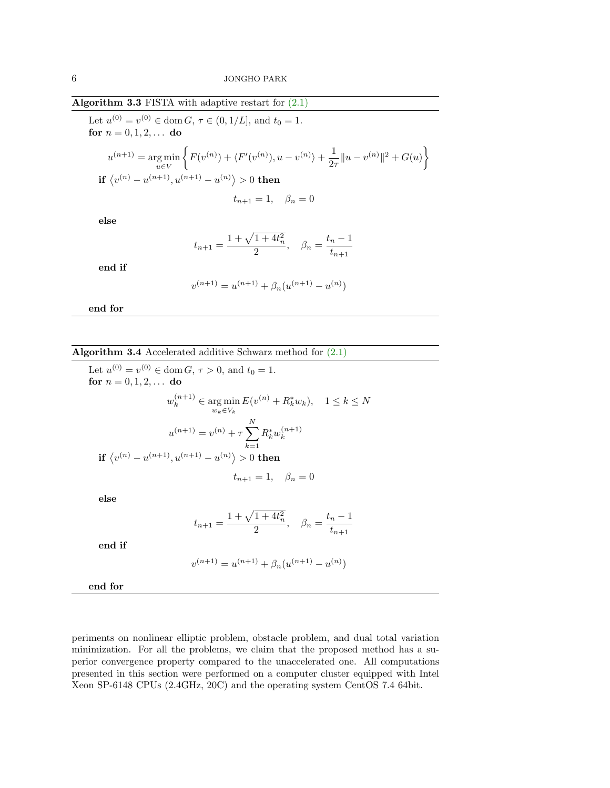<span id="page-5-0"></span>Algorithm 3.3 FISTA with adaptive restart for  $(2.1)$ 

Let  $u^{(0)} = v^{(0)} \in \text{dom } G, \tau \in (0, 1/L], \text{ and } t_0 = 1.$ for  $n = 0, 1, 2, ...$  do

$$
u^{(n+1)} = \underset{u \in V}{\arg \min} \left\{ F(v^{(n)}) + \langle F'(v^{(n)}), u - v^{(n)} \rangle + \frac{1}{2\tau} ||u - v^{(n)}||^2 + G(u) \right\}
$$
  
if  $\langle v^{(n)} - u^{(n+1)}, u^{(n+1)} - u^{(n)} \rangle > 0$  then

$$
t_{n+1} = 1, \quad \beta_n = 0
$$

else

$$
t_{n+1} = \frac{1 + \sqrt{1 + 4t_n^2}}{2}, \quad \beta_n = \frac{t_n - 1}{t_{n+1}}
$$

end if

$$
v^{(n+1)} = u^{(n+1)} + \beta_n(u^{(n+1)} - u^{(n)})
$$

end for

<span id="page-5-1"></span>Algorithm 3.4 Accelerated additive Schwarz method for [\(2.1\)](#page-1-1)

Let 
$$
u^{(0)} = v^{(0)} \in \text{dom } G, \tau > 0
$$
, and  $t_0 = 1$ .  
\nfor  $n = 0, 1, 2, ...$  do  
\n
$$
w_k^{(n+1)} \in \underset{w_k \in V_k}{\arg \min} E(v^{(n)} + R_k^* w_k), \quad 1 \le k \le N
$$
\n
$$
u^{(n+1)} = v^{(n)} + \tau \sum_{k=1}^N R_k^* w_k^{(n+1)}
$$
\nif  $\langle v^{(n)} - u^{(n+1)}, u^{(n+1)} - u^{(n)} \rangle > 0$  then  
\n $t_{n+1} = 1, \quad \beta_n = 0$ 

else

$$
t_{n+1} = \frac{1 + \sqrt{1 + 4t_n^2}}{2}, \quad \beta_n = \frac{t_n - 1}{t_{n+1}}
$$

end if

$$
v^{(n+1)} = u^{(n+1)} + \beta_n(u^{(n+1)} - u^{(n)})
$$

end for

periments on nonlinear elliptic problem, obstacle problem, and dual total variation minimization. For all the problems, we claim that the proposed method has a superior convergence property compared to the unaccelerated one. All computations presented in this section were performed on a computer cluster equipped with Intel Xeon SP-6148 CPUs (2.4GHz, 20C) and the operating system CentOS 7.4 64bit.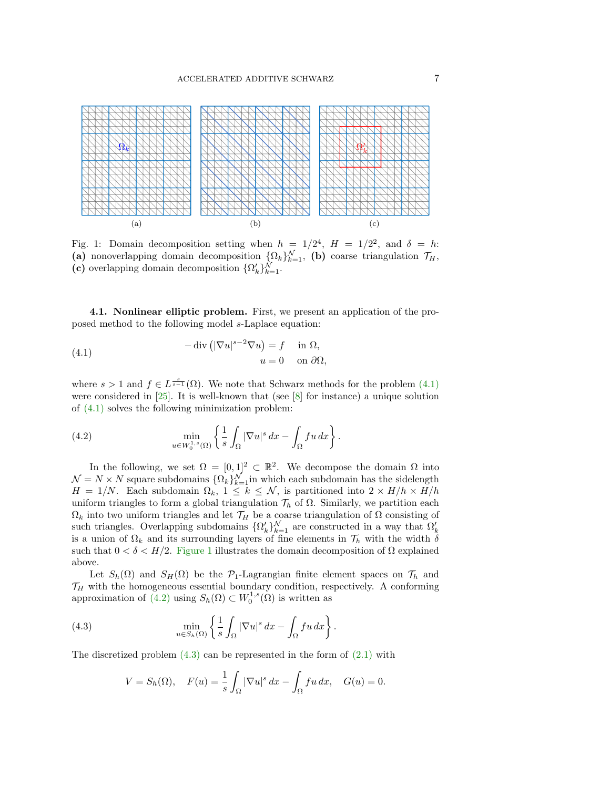<span id="page-6-0"></span>

Fig. 1: Domain decomposition setting when  $h = 1/2^4$ ,  $H = 1/2^2$ , and  $\delta = h$ : (a) nonoverlapping domain decomposition  $\{\Omega_k\}_{k=1}^{\mathcal{N}}$ , (b) coarse triangulation  $\mathcal{T}_H$ , (c) overlapping domain decomposition  $\{\Omega_k'\}_{k=1}^{\mathcal{N}}$ .

<span id="page-6-4"></span>4.1. Nonlinear elliptic problem. First, we present an application of the proposed method to the following model s-Laplace equation:

<span id="page-6-1"></span>(4.1) 
$$
-\operatorname{div} \left( |\nabla u|^{s-2} \nabla u \right) = f \quad \text{in } \Omega, u = 0 \quad \text{on } \partial \Omega,
$$

where  $s > 1$  and  $f \in L^{\frac{s}{s-1}}(\Omega)$ . We note that Schwarz methods for the problem  $(4.1)$ were considered in [\[25\]](#page-17-3). It is well-known that (see [\[8\]](#page-16-13) for instance) a unique solution of [\(4.1\)](#page-6-1) solves the following minimization problem:

<span id="page-6-2"></span>(4.2) 
$$
\min_{u \in W_0^{1,s}(\Omega)} \left\{ \frac{1}{s} \int_{\Omega} |\nabla u|^s \, dx - \int_{\Omega} fu \, dx \right\}.
$$

In the following, we set  $\Omega = [0,1]^2 \subset \mathbb{R}^2$ . We decompose the domain  $\Omega$  into  $\mathcal{N} = N \times N$  square subdomains  $\{\Omega_k\}_{k=1}^{\mathcal{N}}$  in which each subdomain has the sidelength  $H = 1/N$ . Each subdomain  $\Omega_k$ ,  $1 \leq k \leq N$ , is partitioned into  $2 \times H/h \times H/h$ uniform triangles to form a global triangulation  $\mathcal{T}_h$  of  $\Omega$ . Similarly, we partition each  $\Omega_k$  into two uniform triangles and let  $\mathcal{T}_H$  be a coarse triangulation of  $\Omega$  consisting of such triangles. Overlapping subdomains  $\{\Omega_k'\}_{k=1}^{\mathcal{N}}$  are constructed in a way that  $\Omega_k'$ is a union of  $\Omega_k$  and its surrounding layers of fine elements in  $\mathcal{T}_h$  with the width  $\delta$ such that  $0 < \delta < H/2$ . [Figure 1](#page-6-0) illustrates the domain decomposition of  $\Omega$  explained above.

Let  $S_h(\Omega)$  and  $S_H(\Omega)$  be the  $\mathcal{P}_1$ -Lagrangian finite element spaces on  $\mathcal{T}_h$  and  $\mathcal{T}_H$  with the homogeneous essential boundary condition, respectively. A conforming approximation of  $(4.2)$  using  $S_h(\Omega) \subset W_0^{1,s}(\Omega)$  is written as

(4.3) 
$$
\min_{u \in S_h(\Omega)} \left\{ \frac{1}{s} \int_{\Omega} |\nabla u|^s \, dx - \int_{\Omega} f u \, dx \right\}.
$$

The discretized problem  $(4.3)$  can be represented in the form of  $(2.1)$  with

<span id="page-6-3"></span>
$$
V = S_h(\Omega), \quad F(u) = \frac{1}{s} \int_{\Omega} |\nabla u|^s \, dx - \int_{\Omega} fu \, dx, \quad G(u) = 0.
$$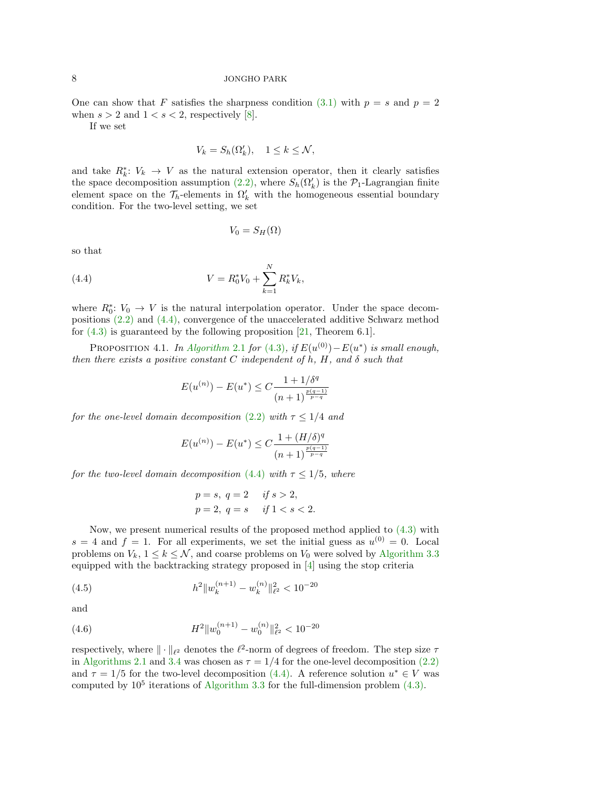One can show that F satisfies the sharpness condition [\(3.1\)](#page-3-0) with  $p = s$  and  $p = 2$ when  $s > 2$  and  $1 < s < 2$ , respectively [\[8\]](#page-16-13).

If we set

$$
V_k = S_h(\Omega_k'), \quad 1 \le k \le \mathcal{N},
$$

and take  $R_k^*$ :  $V_k \to V$  as the natural extension operator, then it clearly satisfies the space decomposition assumption [\(2.2\),](#page-1-2) where  $S_h(\Omega'_k)$  is the  $\mathcal{P}_1$ -Lagrangian finite element space on the  $\mathcal{T}_h$ -elements in  $\Omega'_k$  with the homogeneous essential boundary condition. For the two-level setting, we set

<span id="page-7-0"></span>
$$
V_0 = S_H(\Omega)
$$

so that

(4.4) 
$$
V = R_0^* V_0 + \sum_{k=1}^N R_k^* V_k,
$$

where  $R_0^*$ :  $V_0 \to V$  is the natural interpolation operator. Under the space decompositions [\(2.2\)](#page-1-2) and [\(4.4\),](#page-7-0) convergence of the unaccelerated additive Schwarz method for  $(4.3)$  is guaranteed by the following proposition [\[21,](#page-17-2) Theorem 6.1].

<span id="page-7-1"></span>PROPOSITION 4.1. In [Algorithm](#page-2-0) 2.1 for [\(4.3\)](#page-6-3), if  $E(u^{(0)}) - E(u^*)$  is small enough, then there exists a positive constant C independent of h, H, and  $\delta$  such that

$$
E(u^{(n)}) - E(u^*) \le C \frac{1 + 1/\delta^q}{(n+1)^{\frac{p(q-1)}{p-q}}}
$$

for the one-level domain decomposition [\(2.2\)](#page-1-2) with  $\tau \leq 1/4$  and

$$
E(u^{(n)}) - E(u^*) \le C \frac{1 + (H/\delta)^q}{(n+1)^{\frac{p(q-1)}{p-q}}}
$$

for the two-level domain decomposition [\(4.4\)](#page-7-0) with  $\tau \leq 1/5$ , where

<span id="page-7-2"></span>
$$
p = s, q = 2
$$
 if  $s > 2$ ,  
\n $p = 2, q = s$  if  $1 < s < 2$ .

Now, we present numerical results of the proposed method applied to  $(4.3)$  with  $s = 4$  and  $f = 1$ . For all experiments, we set the initial guess as  $u^{(0)} = 0$ . Local problems on  $V_k$ ,  $1 \leq k \leq \mathcal{N}$ , and coarse problems on  $V_0$  were solved by [Algorithm 3.3](#page-5-0) equipped with the backtracking strategy proposed in [\[4\]](#page-16-5) using the stop criteria

(4.5) 
$$
h^2 \|w_k^{(n+1)} - w_k^{(n)}\|_{\ell^2}^2 < 10^{-20}
$$

and

<span id="page-7-3"></span>(4.6) 
$$
H^2 \|w_0^{(n+1)} - w_0^{(n)}\|_{\ell^2}^2 < 10^{-20}
$$

respectively, where  $\|\cdot\|_{\ell^2}$  denotes the  $\ell^2$ -norm of degrees of freedom. The step size  $\tau$ in [Algorithms 2.1](#page-2-0) and [3.4](#page-5-1) was chosen as  $\tau = 1/4$  for the one-level decomposition [\(2.2\)](#page-1-2) and  $\tau = 1/5$  for the two-level decomposition [\(4.4\).](#page-7-0) A reference solution  $u^* \in V$  was computed by  $10^5$  iterations of [Algorithm 3.3](#page-5-0) for the full-dimension problem  $(4.3)$ .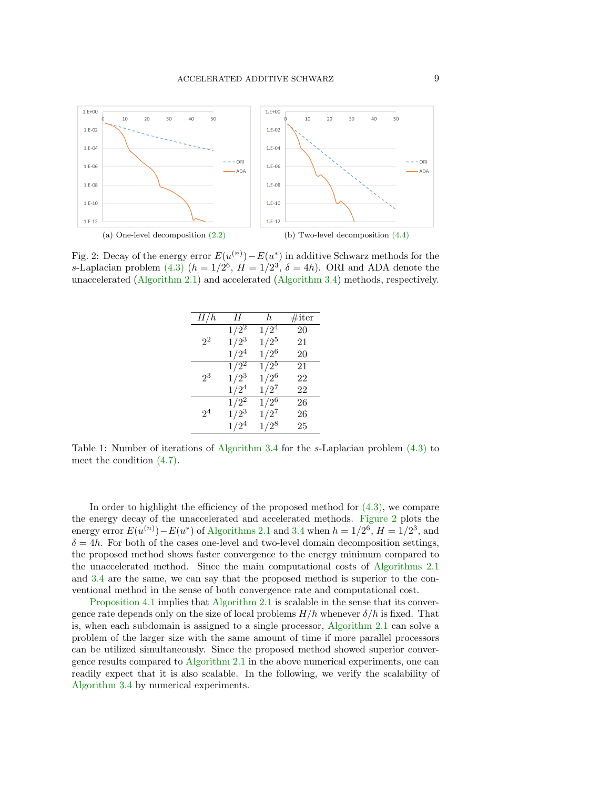<span id="page-8-0"></span>

<span id="page-8-1"></span>Fig. 2: Decay of the energy error  $E(u^{(n)}) - E(u^*)$  in additive Schwarz methods for the s-Laplacian problem [\(4.3\)](#page-6-3)  $(h = 1/2^6, H = 1/2^3, \delta = 4h)$ . ORI and ADA denote the unaccelerated [\(Algorithm 2.1\)](#page-2-0) and accelerated [\(Algorithm 3.4\)](#page-5-1) methods, respectively.

| H/h            | Н                  | h         | $\#$ iter |
|----------------|--------------------|-----------|-----------|
| $2^2$          | $1/2^2$            | $1/2^4$   | 20        |
|                | $1/2^3$            | $1/2^5$   | 21        |
|                | $1/2^4$            | $1/2^6$   | 20        |
| 23             | $1/\overline{2^2}$ | $1/2^{5}$ | 21        |
|                | $1/2^3$            | $1/2^6$   | 22        |
|                | $1/2^4$            | $1/2^7$   | 22        |
| 2 <sup>4</sup> | $1/\overline{2^2}$ | $1/2^{6}$ | 26        |
|                | $1/2^3$            | $1/2^7$   | 26        |
|                | $1/2^4$            | $1/2^8$   | 25        |

Table 1: Number of iterations of [Algorithm 3.4](#page-5-1) for the s-Laplacian problem [\(4.3\)](#page-6-3) to meet the condition [\(4.7\).](#page-9-0)

In order to highlight the efficiency of the proposed method for  $(4.3)$ , we compare the energy decay of the unaccelerated and accelerated methods. [Figure 2](#page-8-0) plots the energy error  $E(u^{(n)}) - E(u^*)$  of [Algorithms 2.1](#page-2-0) and [3.4](#page-5-1) when  $h = 1/2^6$ ,  $H = 1/2^3$ , and  $\delta = 4h$ . For both of the cases one-level and two-level domain decomposition settings, the proposed method shows faster convergence to the energy minimum compared to the unaccelerated method. Since the main computational costs of [Algorithms 2.1](#page-2-0) and [3.4](#page-5-1) are the same, we can say that the proposed method is superior to the conventional method in the sense of both convergence rate and computational cost.

[Proposition 4.1](#page-7-1) implies that [Algorithm 2.1](#page-2-0) is scalable in the sense that its convergence rate depends only on the size of local problems  $H/h$  whenever  $\delta/h$  is fixed. That is, when each subdomain is assigned to a single processor, [Algorithm 2.1](#page-2-0) can solve a problem of the larger size with the same amount of time if more parallel processors can be utilized simultaneously. Since the proposed method showed superior convergence results compared to [Algorithm 2.1](#page-2-0) in the above numerical experiments, one can readily expect that it is also scalable. In the following, we verify the scalability of [Algorithm 3.4](#page-5-1) by numerical experiments.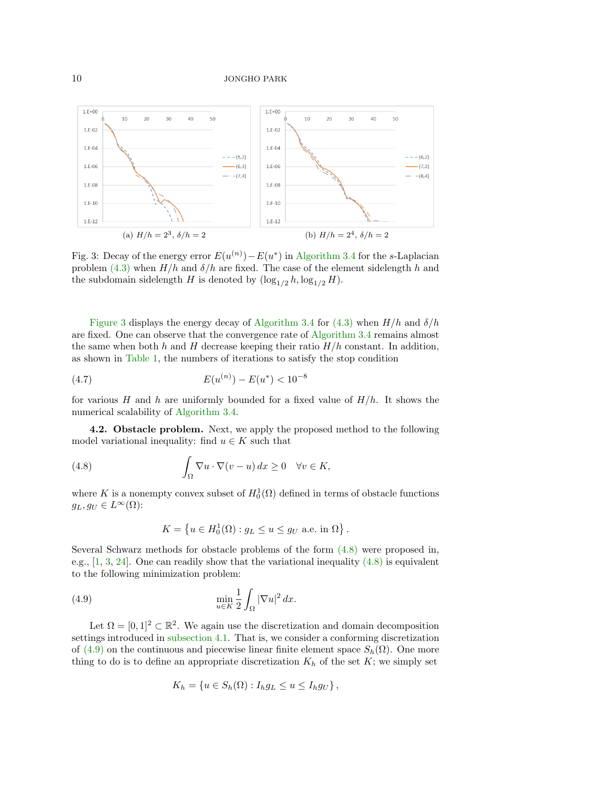<span id="page-9-1"></span>

Fig. 3: Decay of the energy error  $E(u^{(n)}) - E(u^*)$  in [Algorithm 3.4](#page-5-1) for the s-Laplacian problem [\(4.3\)](#page-6-3) when  $H/h$  and  $\delta/h$  are fixed. The case of the element sidelength h and the subdomain sidelength H is denoted by  $(\log_{1/2} h, \log_{1/2} H)$ .

[Figure 3](#page-9-1) displays the energy decay of [Algorithm 3.4](#page-5-1) for [\(4.3\)](#page-6-3) when  $H/h$  and  $\delta/h$ are fixed. One can observe that the convergence rate of [Algorithm 3.4](#page-5-1) remains almost the same when both h and H decrease keeping their ratio  $H/h$  constant. In addition, as shown in [Table 1,](#page-8-1) the numbers of iterations to satisfy the stop condition

<span id="page-9-0"></span>(4.7) 
$$
E(u^{(n)}) - E(u^*) < 10^{-8}
$$

for various H and h are uniformly bounded for a fixed value of  $H/h$ . It shows the numerical scalability of [Algorithm 3.4.](#page-5-1)

4.2. Obstacle problem. Next, we apply the proposed method to the following model variational inequality: find  $u \in K$  such that

(4.8) 
$$
\int_{\Omega} \nabla u \cdot \nabla (v - u) \, dx \geq 0 \quad \forall v \in K,
$$

where K is a nonempty convex subset of  $H_0^1(\Omega)$  defined in terms of obstacle functions  $g_L, g_U \in L^{\infty}(\Omega)$ :

<span id="page-9-3"></span><span id="page-9-2"></span>
$$
K = \left\{ u \in H_0^1(\Omega) : g_L \le u \le g_U \text{ a.e. in } \Omega \right\}.
$$

Several Schwarz methods for obstacle problems of the form [\(4.8\)](#page-9-2) were proposed in, e.g.,  $[1, 3, 24]$  $[1, 3, 24]$  $[1, 3, 24]$  $[1, 3, 24]$  $[1, 3, 24]$ . One can readily show that the variational inequality  $(4.8)$  is equivalent to the following minimization problem:

(4.9) 
$$
\min_{u \in K} \frac{1}{2} \int_{\Omega} |\nabla u|^2 dx.
$$

Let  $\Omega = [0, 1]^2 \subset \mathbb{R}^2$ . We again use the discretization and domain decomposition settings introduced in [subsection 4.1.](#page-6-4) That is, we consider a conforming discretization of [\(4.9\)](#page-9-3) on the continuous and piecewise linear finite element space  $S_h(\Omega)$ . One more thing to do is to define an appropriate discretization  $K_h$  of the set K; we simply set

$$
K_h = \{ u \in S_h(\Omega) : I_h g_L \le u \le I_h g_U \},
$$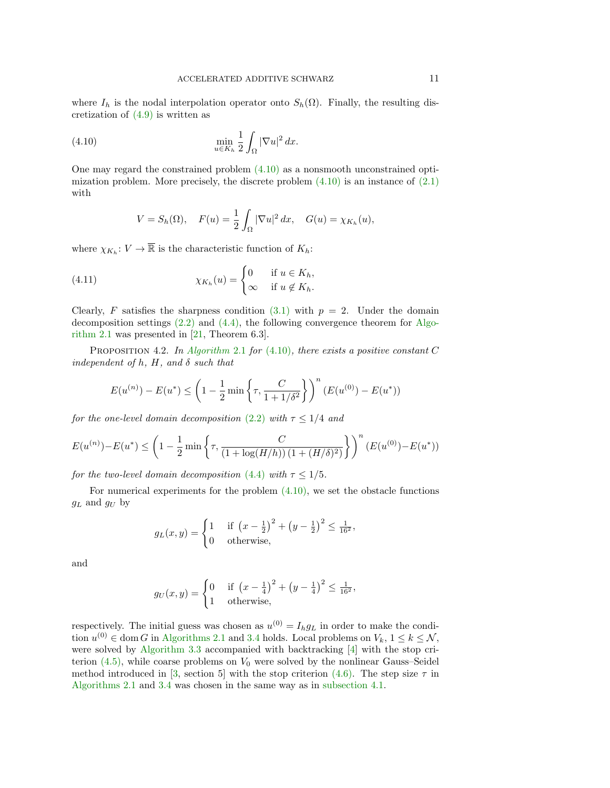where  $I_h$  is the nodal interpolation operator onto  $S_h(\Omega)$ . Finally, the resulting discretization of  $(4.9)$  is written as

(4.10) 
$$
\min_{u \in K_h} \frac{1}{2} \int_{\Omega} |\nabla u|^2 dx.
$$

One may regard the constrained problem  $(4.10)$  as a nonsmooth unconstrained optimization problem. More precisely, the discrete problem  $(4.10)$  is an instance of  $(2.1)$ with

<span id="page-10-2"></span><span id="page-10-0"></span>
$$
V = S_h(\Omega), \quad F(u) = \frac{1}{2} \int_{\Omega} |\nabla u|^2 dx, \quad G(u) = \chi_{K_h}(u),
$$

where  $\chi_{K_h}: V \to \overline{\mathbb{R}}$  is the characteristic function of  $K_h$ :

(4.11) 
$$
\chi_{K_h}(u) = \begin{cases} 0 & \text{if } u \in K_h, \\ \infty & \text{if } u \notin K_h. \end{cases}
$$

Clearly, F satisfies the sharpness condition  $(3.1)$  with  $p = 2$ . Under the domain decomposition settings  $(2.2)$  and  $(4.4)$ , the following convergence theorem for [Algo](#page-2-0)[rithm 2.1](#page-2-0) was presented in [\[21,](#page-17-2) Theorem 6.3].

<span id="page-10-1"></span>PROPOSITION 4.2. In [Algorithm](#page-2-0) 2.1 for  $(4.10)$ , there exists a positive constant C independent of h,  $H$ , and  $\delta$  such that

$$
E(u^{(n)}) - E(u^*) \le \left(1 - \frac{1}{2} \min\left\{\tau, \frac{C}{1 + 1/\delta^2}\right\}\right)^n (E(u^{(0)}) - E(u^*))
$$

for the one-level domain decomposition [\(2.2\)](#page-1-2) with  $\tau \leq 1/4$  and

$$
E(u^{(n)}) - E(u^*) \le \left(1 - \frac{1}{2} \min\left\{\tau, \frac{C}{(1 + \log(H/h)) (1 + (H/\delta)^2)}\right\}\right)^n (E(u^{(0)}) - E(u^*))
$$

for the two-level domain decomposition [\(4.4\)](#page-7-0) with  $\tau \leq 1/5$ .

For numerical experiments for the problem  $(4.10)$ , we set the obstacle functions  $g_L$  and  $g_U$  by

$$
g_L(x,y) = \begin{cases} 1 & \text{if } \left(x - \frac{1}{2}\right)^2 + \left(y - \frac{1}{2}\right)^2 \le \frac{1}{16^2}, \\ 0 & \text{otherwise,} \end{cases}
$$

and

$$
g_U(x,y) = \begin{cases} 0 & \text{if } \left(x - \frac{1}{4}\right)^2 + \left(y - \frac{1}{4}\right)^2 \le \frac{1}{16^2}, \\ 1 & \text{otherwise,} \end{cases}
$$

respectively. The initial guess was chosen as  $u^{(0)} = I_h g_L$  in order to make the condition  $u^{(0)} \in \text{dom } G$  in [Algorithms 2.1](#page-2-0) and [3.4](#page-5-1) holds. Local problems on  $V_k$ ,  $1 \leq k \leq \mathcal{N}$ , were solved by [Algorithm 3.3](#page-5-0) accompanied with backtracking [\[4\]](#page-16-5) with the stop criterion  $(4.5)$ , while coarse problems on  $V_0$  were solved by the nonlinear Gauss–Seidel method introduced in [\[3,](#page-16-9) section 5] with the stop criterion [\(4.6\).](#page-7-3) The step size  $\tau$  in [Algorithms 2.1](#page-2-0) and [3.4](#page-5-1) was chosen in the same way as in [subsection 4.1.](#page-6-4)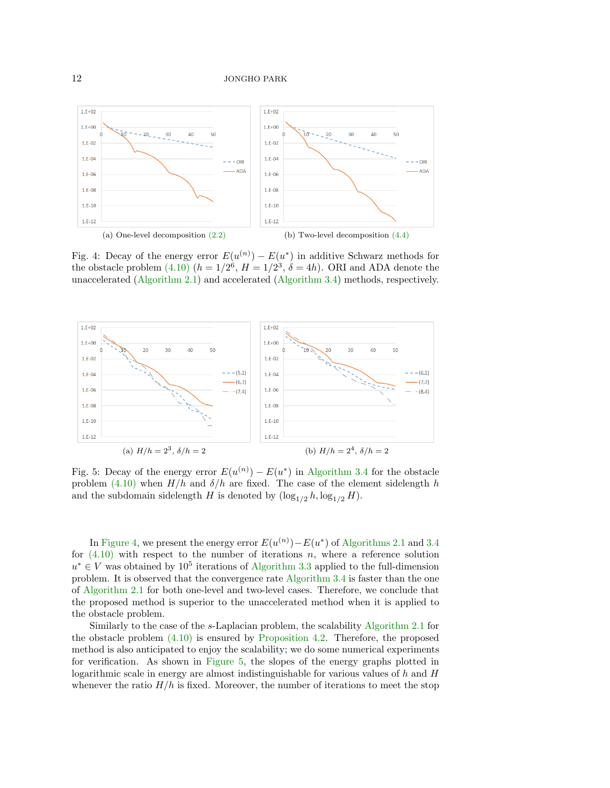<span id="page-11-0"></span>

Fig. 4: Decay of the energy error  $E(u^{(n)}) - E(u^*)$  in additive Schwarz methods for the obstacle problem [\(4.10\)](#page-10-0)  $(h = 1/2^6, H = 1/2^3, \delta = 4h)$ . ORI and ADA denote the unaccelerated [\(Algorithm 2.1\)](#page-2-0) and accelerated [\(Algorithm 3.4\)](#page-5-1) methods, respectively.

<span id="page-11-1"></span>

Fig. 5: Decay of the energy error  $E(u^{(n)}) - E(u^*)$  in [Algorithm 3.4](#page-5-1) for the obstacle problem [\(4.10\)](#page-10-0) when  $H/h$  and  $\delta/h$  are fixed. The case of the element sidelength h and the subdomain sidelength H is denoted by  $(\log_{1/2} h, \log_{1/2} H)$ .

In [Figure 4,](#page-11-0) we present the energy error  $E(u^{(n)}) - E(u^*)$  of [Algorithms 2.1](#page-2-0) and [3.4](#page-5-1) for  $(4.10)$  with respect to the number of iterations n, where a reference solution  $u^* \in V$  was obtained by  $10^5$  iterations of [Algorithm 3.3](#page-5-0) applied to the full-dimension problem. It is observed that the convergence rate [Algorithm 3.4](#page-5-1) is faster than the one of [Algorithm 2.1](#page-2-0) for both one-level and two-level cases. Therefore, we conclude that the proposed method is superior to the unaccelerated method when it is applied to the obstacle problem.

Similarly to the case of the s-Laplacian problem, the scalability [Algorithm 2.1](#page-2-0) for the obstacle problem [\(4.10\)](#page-10-0) is ensured by [Proposition 4.2.](#page-10-1) Therefore, the proposed method is also anticipated to enjoy the scalability; we do some numerical experiments for verification. As shown in [Figure 5,](#page-11-1) the slopes of the energy graphs plotted in logarithmic scale in energy are almost indistinguishable for various values of  $h$  and  $H$ whenever the ratio  $H/h$  is fixed. Moreover, the number of iterations to meet the stop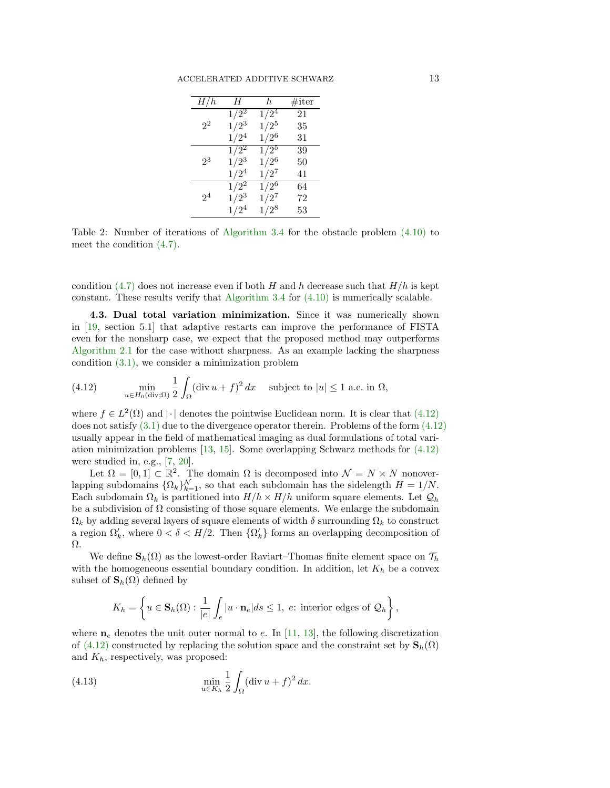| H/h            | Н                  | h.                 | $\#$ iter |
|----------------|--------------------|--------------------|-----------|
| $2^2$          | $1/\overline{2^2}$ | $1/\overline{2^4}$ | 21        |
|                | $1/2^3$            | $1/2^5$            | 35        |
|                | $1/2^4$            | $1/2^6$            | 31        |
| $2^3$          | $1/\overline{2^2}$ | $1/2^5$            | 39        |
|                | $1/2^3$            | $1/2^6$            | 50        |
|                | $1/2^4$            | $1/2^7$            | 41        |
| 2 <sup>4</sup> | $1/2^2$            | $1/2^6$            | 64        |
|                | $1/2^3$            | $1/2^7$            | 72        |
|                | $1/2^4$            | $1/2^8$            | 53        |

Table 2: Number of iterations of [Algorithm 3.4](#page-5-1) for the obstacle problem [\(4.10\)](#page-10-0) to meet the condition [\(4.7\).](#page-9-0)

condition [\(4.7\)](#page-9-0) does not increase even if both H and h decrease such that  $H/h$  is kept constant. These results verify that [Algorithm 3.4](#page-5-1) for  $(4.10)$  is numerically scalable.

4.3. Dual total variation minimization. Since it was numerically shown in [\[19,](#page-17-7) section 5.1] that adaptive restarts can improve the performance of FISTA even for the nonsharp case, we expect that the proposed method may outperforms [Algorithm 2.1](#page-2-0) for the case without sharpness. As an example lacking the sharpness condition [\(3.1\),](#page-3-0) we consider a minimization problem

<span id="page-12-0"></span>(4.12) 
$$
\min_{u \in H_0(\text{div};\Omega)} \frac{1}{2} \int_{\Omega} (\text{div } u + f)^2 dx \text{ subject to } |u| \le 1 \text{ a.e. in } \Omega,
$$

where  $f \in L^2(\Omega)$  and  $|\cdot|$  denotes the pointwise Euclidean norm. It is clear that  $(4.12)$ does not satisfy  $(3.1)$  due to the divergence operator therein. Problems of the form  $(4.12)$ usually appear in the field of mathematical imaging as dual formulations of total variation minimization problems [\[13,](#page-16-7) [15\]](#page-16-14). Some overlapping Schwarz methods for [\(4.12\)](#page-12-0) were studied in, e.g., [\[7,](#page-16-10) [20\]](#page-17-10).

Let  $\Omega = [0,1] \subset \mathbb{R}^2$ . The domain  $\Omega$  is decomposed into  $\mathcal{N} = N \times N$  nonoverlapping subdomains  $\{\Omega_k\}_{k=1}^{\mathcal{N}},$  so that each subdomain has the sidelength  $H = 1/N$ . Each subdomain  $\Omega_k$  is partitioned into  $H/h \times H/h$  uniform square elements. Let  $\mathcal{Q}_h$ be a subdivision of  $\Omega$  consisting of those square elements. We enlarge the subdomain  $\Omega_k$  by adding several layers of square elements of width  $\delta$  surrounding  $\Omega_k$  to construct a region  $\Omega'_k$ , where  $0 < \delta < H/2$ . Then  $\{\Omega'_k\}$  forms an overlapping decomposition of Ω.

We define  $\mathbf{S}_h(\Omega)$  as the lowest-order Raviart–Thomas finite element space on  $\mathcal{T}_h$ with the homogeneous essential boundary condition. In addition, let  $K_h$  be a convex subset of  $\mathbf{S}_h(\Omega)$  defined by

<span id="page-12-1"></span>
$$
K_h = \left\{ u \in \mathbf{S}_h(\Omega) : \frac{1}{|e|} \int_e |u \cdot \mathbf{n}_e| ds \le 1, e: \text{ interior edges of } \mathcal{Q}_h \right\},\
$$

where  $n_e$  denotes the unit outer normal to e. In [\[11,](#page-16-15) [13\]](#page-16-7), the following discretization of [\(4.12\)](#page-12-0) constructed by replacing the solution space and the constraint set by  $\mathbf{S}_h(\Omega)$ and  $K_h$ , respectively, was proposed:

(4.13) 
$$
\min_{u \in K_h} \frac{1}{2} \int_{\Omega} (\text{div } u + f)^2 dx.
$$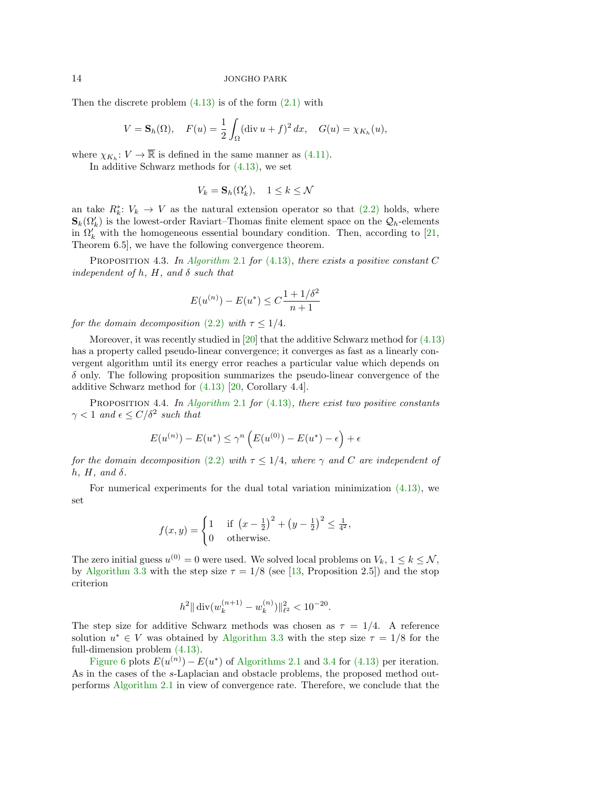Then the discrete problem  $(4.13)$  is of the form  $(2.1)$  with

$$
V = \mathbf{S}_h(\Omega), \quad F(u) = \frac{1}{2} \int_{\Omega} (\text{div } u + f)^2 \, dx, \quad G(u) = \chi_{K_h}(u),
$$

where  $\chi_{K_h}: V \to \overline{\mathbb{R}}$  is defined in the same manner as [\(4.11\).](#page-10-2)

In additive Schwarz methods for [\(4.13\),](#page-12-1) we set

$$
V_k = \mathbf{S}_h(\Omega_k'), \quad 1 \le k \le \mathcal{N}
$$

an take  $R_k^*$ :  $V_k \to V$  as the natural extension operator so that [\(2.2\)](#page-1-2) holds, where  $\mathbf{S}_k(\Omega_k')$  is the lowest-order Raviart–Thomas finite element space on the  $\mathcal{Q}_h$ -elements in  $\Omega'_k$  with the homogeneous essential boundary condition. Then, according to [\[21,](#page-17-2) Theorem 6.5], we have the following convergence theorem.

<span id="page-13-0"></span>PROPOSITION 4.3. In [Algorithm](#page-2-0) 2.1 for  $(4.13)$ , there exists a positive constant C independent of h, H, and  $\delta$  such that

$$
E(u^{(n)}) - E(u^*) \le C \frac{1 + 1/\delta^2}{n+1}
$$

for the domain decomposition [\(2.2\)](#page-1-2) with  $\tau \leq 1/4$ .

Moreover, it was recently studied in [\[20\]](#page-17-10) that the additive Schwarz method for [\(4.13\)](#page-12-1) has a property called pseudo-linear convergence; it converges as fast as a linearly convergent algorithm until its energy error reaches a particular value which depends on  $\delta$  only. The following proposition summarizes the pseudo-linear convergence of the additive Schwarz method for [\(4.13\)](#page-12-1) [\[20,](#page-17-10) Corollary 4.4].

<span id="page-13-1"></span>PROPOSITION 4.4. In [Algorithm](#page-2-0) 2.1 for  $(4.13)$ , there exist two positive constants  $\gamma < 1$  and  $\epsilon \le C/\delta^2$  such that

$$
E(u^{(n)}) - E(u^*) \le \gamma^n \left( E(u^{(0)}) - E(u^*) - \epsilon \right) + \epsilon
$$

for the domain decomposition [\(2.2\)](#page-1-2) with  $\tau \leq 1/4$ , where  $\gamma$  and C are independent of h,  $H$ , and  $\delta$ .

For numerical experiments for the dual total variation minimization [\(4.13\),](#page-12-1) we set

$$
f(x,y) = \begin{cases} 1 & \text{if } \left(x - \frac{1}{2}\right)^2 + \left(y - \frac{1}{2}\right)^2 \le \frac{1}{4^2}, \\ 0 & \text{otherwise.} \end{cases}
$$

The zero initial guess  $u^{(0)} = 0$  were used. We solved local problems on  $V_k$ ,  $1 \leq k \leq \mathcal{N}$ , by [Algorithm 3.3](#page-5-0) with the step size  $\tau = 1/8$  (see [\[13,](#page-16-7) Proposition 2.5]) and the stop criterion

$$
h^2 \|\operatorname{div}(w_k^{(n+1)} - w_k^{(n)})\|_{\ell^2}^2 < 10^{-20}.
$$

The step size for additive Schwarz methods was chosen as  $\tau = 1/4$ . A reference solution  $u^* \in V$  was obtained by [Algorithm 3.3](#page-5-0) with the step size  $\tau = 1/8$  for the full-dimension problem [\(4.13\).](#page-12-1)

[Figure 6](#page-14-0) plots  $E(u^{(n)}) - E(u^*)$  of [Algorithms 2.1](#page-2-0) and [3.4](#page-5-1) for [\(4.13\)](#page-12-1) per iteration. As in the cases of the s-Laplacian and obstacle problems, the proposed method outperforms [Algorithm 2.1](#page-2-0) in view of convergence rate. Therefore, we conclude that the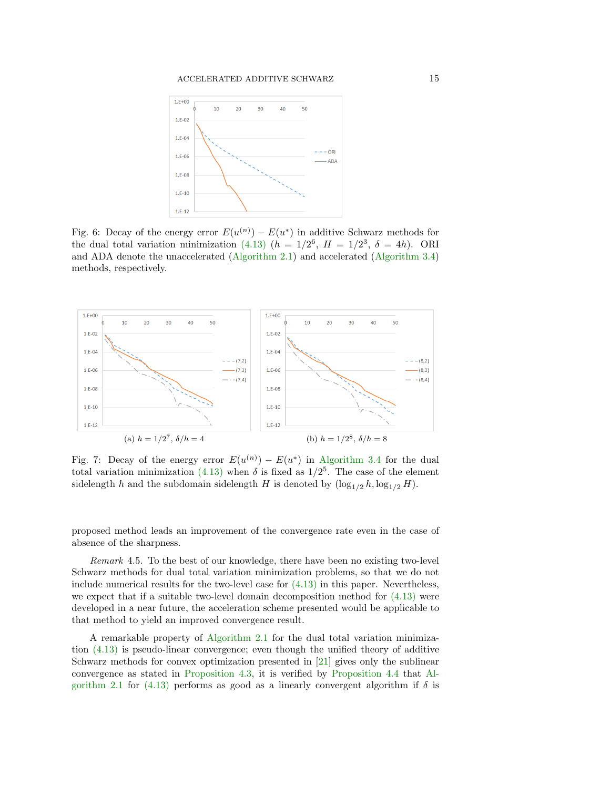<span id="page-14-0"></span>

Fig. 6: Decay of the energy error  $E(u^{(n)}) - E(u^*)$  in additive Schwarz methods for the dual total variation minimization [\(4.13\)](#page-12-1)  $(h = 1/2^6, H = 1/2^3, \delta = 4h)$ . ORI and ADA denote the unaccelerated [\(Algorithm 2.1\)](#page-2-0) and accelerated [\(Algorithm 3.4\)](#page-5-1) methods, respectively.

<span id="page-14-1"></span>

Fig. 7: Decay of the energy error  $E(u^{(n)}) - E(u^*)$  in [Algorithm 3.4](#page-5-1) for the dual total variation minimization [\(4.13\)](#page-12-1) when  $\delta$  is fixed as  $1/2^5$ . The case of the element sidelength h and the subdomain sidelength H is denoted by  $(\log_{1/2} h, \log_{1/2} H)$ .

proposed method leads an improvement of the convergence rate even in the case of absence of the sharpness.

Remark 4.5. To the best of our knowledge, there have been no existing two-level Schwarz methods for dual total variation minimization problems, so that we do not include numerical results for the two-level case for  $(4.13)$  in this paper. Nevertheless, we expect that if a suitable two-level domain decomposition method for [\(4.13\)](#page-12-1) were developed in a near future, the acceleration scheme presented would be applicable to that method to yield an improved convergence result.

A remarkable property of [Algorithm 2.1](#page-2-0) for the dual total variation minimization [\(4.13\)](#page-12-1) is pseudo-linear convergence; even though the unified theory of additive Schwarz methods for convex optimization presented in [\[21\]](#page-17-2) gives only the sublinear convergence as stated in [Proposition 4.3,](#page-13-0) it is verified by [Proposition 4.4](#page-13-1) that [Al](#page-2-0)[gorithm 2.1](#page-2-0) for [\(4.13\)](#page-12-1) performs as good as a linearly convergent algorithm if  $\delta$  is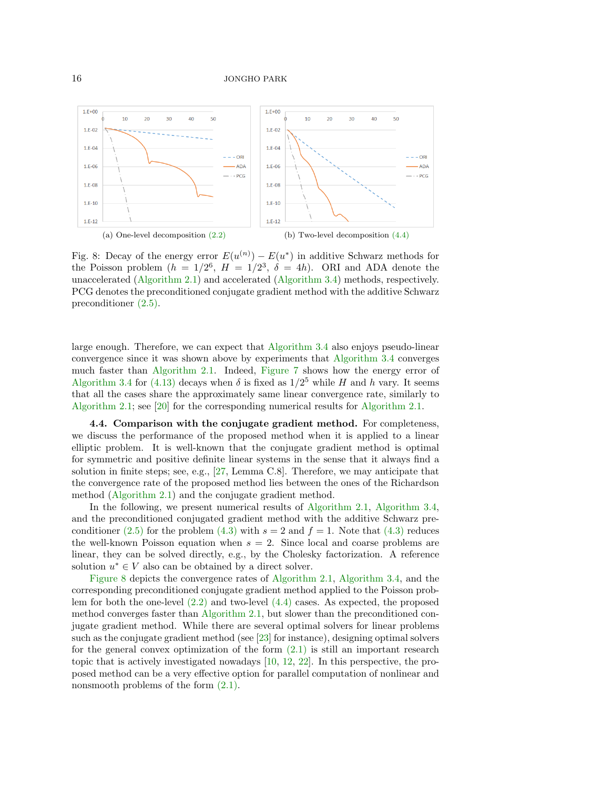<span id="page-15-0"></span>

Fig. 8: Decay of the energy error  $E(u^{(n)}) - E(u^*)$  in additive Schwarz methods for the Poisson problem  $(h = 1/2^6, H = 1/2^3, \delta = 4h)$ . ORI and ADA denote the unaccelerated [\(Algorithm 2.1\)](#page-2-0) and accelerated [\(Algorithm 3.4\)](#page-5-1) methods, respectively. PCG denotes the preconditioned conjugate gradient method with the additive Schwarz preconditioner [\(2.5\).](#page-2-5)

large enough. Therefore, we can expect that [Algorithm 3.4](#page-5-1) also enjoys pseudo-linear convergence since it was shown above by experiments that [Algorithm 3.4](#page-5-1) converges much faster than [Algorithm 2.1.](#page-2-0) Indeed, [Figure 7](#page-14-1) shows how the energy error of [Algorithm 3.4](#page-5-1) for [\(4.13\)](#page-12-1) decays when  $\delta$  is fixed as  $1/2^5$  while H and h vary. It seems that all the cases share the approximately same linear convergence rate, similarly to [Algorithm 2.1;](#page-2-0) see [\[20\]](#page-17-10) for the corresponding numerical results for [Algorithm 2.1.](#page-2-0)

4.4. Comparison with the conjugate gradient method. For completeness, we discuss the performance of the proposed method when it is applied to a linear elliptic problem. It is well-known that the conjugate gradient method is optimal for symmetric and positive definite linear systems in the sense that it always find a solution in finite steps; see, e.g., [\[27,](#page-17-0) Lemma C.8]. Therefore, we may anticipate that the convergence rate of the proposed method lies between the ones of the Richardson method [\(Algorithm 2.1\)](#page-2-0) and the conjugate gradient method.

In the following, we present numerical results of [Algorithm 2.1,](#page-2-0) [Algorithm 3.4,](#page-5-1) and the preconditioned conjugated gradient method with the additive Schwarz pre-conditioner [\(2.5\)](#page-2-5) for the problem [\(4.3\)](#page-6-3) with  $s = 2$  and  $f = 1$ . Note that (4.3) reduces the well-known Poisson equation when  $s = 2$ . Since local and coarse problems are linear, they can be solved directly, e.g., by the Cholesky factorization. A reference solution  $u^* \in V$  also can be obtained by a direct solver.

[Figure 8](#page-15-0) depicts the convergence rates of [Algorithm 2.1,](#page-2-0) [Algorithm 3.4,](#page-5-1) and the corresponding preconditioned conjugate gradient method applied to the Poisson problem for both the one-level [\(2.2\)](#page-1-2) and two-level [\(4.4\)](#page-7-0) cases. As expected, the proposed method converges faster than [Algorithm 2.1,](#page-2-0) but slower than the preconditioned conjugate gradient method. While there are several optimal solvers for linear problems such as the conjugate gradient method (see  $\left[23\right]$  for instance), designing optimal solvers for the general convex optimization of the form  $(2.1)$  is still an important research topic that is actively investigated nowadays [\[10,](#page-16-3) [12,](#page-16-4) [22\]](#page-17-8). In this perspective, the proposed method can be a very effective option for parallel computation of nonlinear and nonsmooth problems of the form  $(2.1)$ .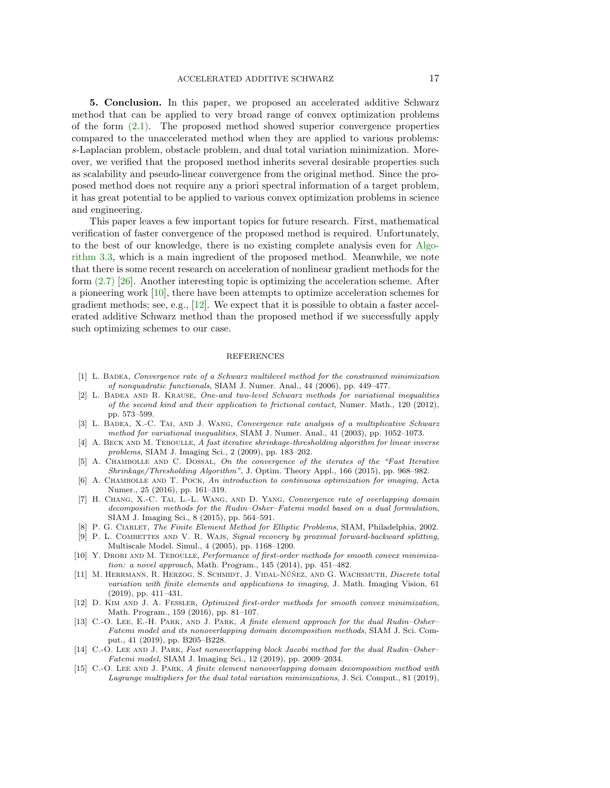<span id="page-16-11"></span>5. Conclusion. In this paper, we proposed an accelerated additive Schwarz method that can be applied to very broad range of convex optimization problems of the form [\(2.1\).](#page-1-1) The proposed method showed superior convergence properties compared to the unaccelerated method when they are applied to various problems: s-Laplacian problem, obstacle problem, and dual total variation minimization. Moreover, we verified that the proposed method inherits several desirable properties such as scalability and pseudo-linear convergence from the original method. Since the proposed method does not require any a priori spectral information of a target problem, it has great potential to be applied to various convex optimization problems in science and engineering.

This paper leaves a few important topics for future research. First, mathematical verification of faster convergence of the proposed method is required. Unfortunately, to the best of our knowledge, there is no existing complete analysis even for [Algo](#page-5-0)[rithm 3.3,](#page-5-0) which is a main ingredient of the proposed method. Meanwhile, we note that there is some recent research on acceleration of nonlinear gradient methods for the form  $(2.7)$  [\[26\]](#page-17-11). Another interesting topic is optimizing the acceleration scheme. After a pioneering work [\[10\]](#page-16-3), there have been attempts to optimize acceleration schemes for gradient methods; see, e.g.,  $[12]$ . We expect that it is possible to obtain a faster accelerated additive Schwarz method than the proposed method if we successfully apply such optimizing schemes to our case.

### REFERENCES

- <span id="page-16-0"></span>[1] L. Badea, Convergence rate of a Schwarz multilevel method for the constrained minimization of nonquadratic functionals, SIAM J. Numer. Anal., 44 (2006), pp. 449–477.
- <span id="page-16-1"></span>[2] L. Badea and R. Krause, One-and two-level Schwarz methods for variational inequalities of the second kind and their application to frictional contact, Numer. Math., 120 (2012), pp. 573–599.
- <span id="page-16-9"></span>[3] L. BADEA, X.-C. TAI, AND J. WANG, Convergence rate analysis of a multiplicative Schwarz method for variational inequalities, SIAM J. Numer. Anal., 41 (2003), pp. 1052–1073.
- <span id="page-16-5"></span>[4] A. BECK AND M. TEBOULLE, A fast iterative shrinkage-thresholding algorithm for linear inverse problems, SIAM J. Imaging Sci., 2 (2009), pp. 183–202.
- <span id="page-16-6"></span>[5] A. Chambolle and C. Dossal, On the convergence of the iterates of the "Fast Iterative Shrinkage/Thresholding Algorithm", J. Optim. Theory Appl., 166 (2015), pp. 968–982.
- <span id="page-16-2"></span>[6] A. CHAMBOLLE AND T. POCK, An introduction to continuous optimization for imaging, Acta Numer., 25 (2016), pp. 161–319.
- <span id="page-16-10"></span>[7] H. CHANG, X.-C. TAI, L.-L. WANG, AND D. YANG, Convergence rate of overlapping domain decomposition methods for the Rudin–Osher–Fatemi model based on a dual formulation, SIAM J. Imaging Sci., 8 (2015), pp. 564–591.
- <span id="page-16-13"></span>[8] P. G. CIARLET, The Finite Element Method for Elliptic Problems, SIAM, Philadelphia, 2002.
- <span id="page-16-12"></span>[9] P. L. COMBETTES AND V. R. WAJS, Signal recovery by proximal forward-backward splitting, Multiscale Model. Simul., 4 (2005), pp. 1168–1200.
- <span id="page-16-3"></span>[10] Y. DRORI AND M. TEBOULLE, Performance of first-order methods for smooth convex minimization: a novel approach, Math. Program., 145 (2014), pp. 451–482.
- <span id="page-16-15"></span>[11] M. HERRMANN, R. HERZOG, S. SCHMIDT, J. VIDAL-NÚÑEZ, AND G. WACHSMUTH, Discrete total variation with finite elements and applications to imaging, J. Math. Imaging Vision, 61 (2019), pp. 411–431.
- <span id="page-16-4"></span>[12] D. KIM AND J. A. FESSLER, Optimized first-order methods for smooth convex minimization, Math. Program., 159 (2016), pp. 81–107.
- <span id="page-16-7"></span>[13] C.-O. LEE, E.-H. PARK, AND J. PARK, A finite element approach for the dual Rudin–Osher– Fatemi model and its nonoverlapping domain decomposition methods, SIAM J. Sci. Comput., 41 (2019), pp. B205–B228.
- <span id="page-16-8"></span>[14] C.-O. LEE AND J. PARK, Fast nonoverlapping block Jacobi method for the dual Rudin–Osher– Fatemi model, SIAM J. Imaging Sci., 12 (2019), pp. 2009–2034.
- <span id="page-16-14"></span>[15] C.-O. LEE AND J. PARK, A finite element nonoverlapping domain decomposition method with Lagrange multipliers for the dual total variation minimizations, J. Sci. Comput., 81 (2019),